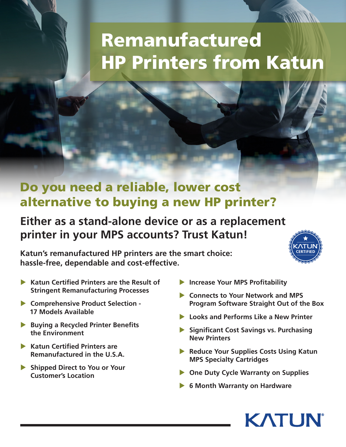# Remanufactured HP Printers from Katun

### Do you need a reliable, lower cost alternative to buying a new HP printer?

#### **Either as a stand-alone device or as a replacement printer in your MPS accounts? Trust Katun!**

**Katun's remanufactured HP printers are the smart choice: hassle-free, dependable and cost-effective.**



- ▶ Katun Certified Printers are the Result of **Stringent Remanufacturing Processes**
- **Comprehensive Product Selection - 17 Models Available**
- **Buying a Recycled Printer Benefits the Environment**
- **Katun Certified Printers are Remanufactured in the U.S.A.**
- **Shipped Direct to You or Your Customer's Location**
- **Increase Your MPS Profitability**
- **Example 2 Connects to Your Network and MPS Program Software Straight Out of the Box**
- **Looks and Performs Like a New Printer**
- **Significant Cost Savings vs. Purchasing New Printers**
- **Reduce Your Supplies Costs Using Katun MPS Specialty Cartridges**
- **Diagonal Duty Cycle Warranty on Supplies**
- **6 Month Warranty on Hardware**